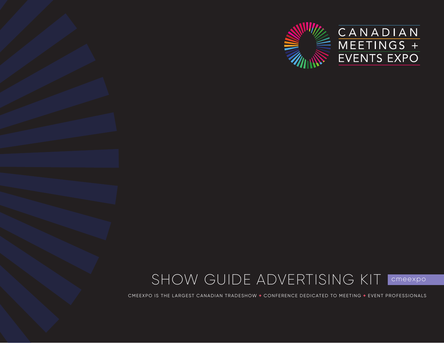

## SHOW GUIDE ADVERTISING KIT | CMeexpo

CMEEXPO IS THE LARGEST CANADIAN TRADESHOW + CONFERENCE DEDICATED TO MEETING + EVENT PROFESSIONALS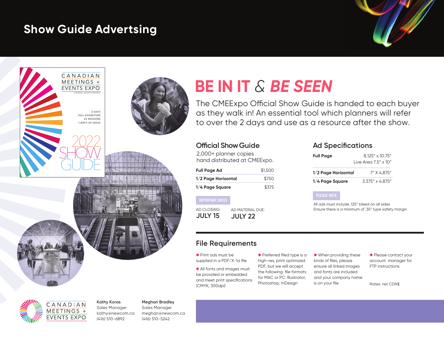## **Show Guide Advertsing**





# **BE IN IT** *& BE SEEN*

The CMEExpo Official Show Guide is handed to each buyer as they walk in! An essential tool which planners will refer to over the 2 days and use as a resource after the show.

### **Official Show Guide**

2,000+ planner copies hand distributed at CMEExpo.

| <b>Full Page Ad</b> | \$1,500 |
|---------------------|---------|
| 1/2 Page Horizontal | \$750   |
| 1/4 Page Square     | \$375   |

IMPORTANT DATES AD CLOSING: AD MATERIAL DUE:

**JULY 15 JULY 22**

### **Ad Specifications**

| <b>Full Page</b>               | 8.125" x 10.75"          |
|--------------------------------|--------------------------|
| $l$ ive Area $7.5" \times 10"$ |                          |
| 1/2 Page Horizontal            | 7" X 4 875"              |
| 1/4 Page Square                | $3.375'' \times 4.875''$ |

#### PLEASE NOTE

All ads must include .125" bleed on all sides Ensure there is a minimum of .35" type safety margin

### **File Requirements**

✱ Print ads must be supplied in a PDF/X-1a file

✱ All fonts and images must be provided or embedded and meet print specifications (CMYK, 300dpi)

✱ Preferred filed type is a high-res, print optimized PDF, but we will accept the following file formats for MAC or PC: Illustrator, Photoshop, InDesign

✱ When providing these kinds of files, please ensure all linked images and fonts are included and your company name is on your file Rates: net CDN\$

✱ Please contact your account manager for FTP instructions



**Kathy Koras**  Sales Manager kathy@newcom.ca

(416) 510-6892

**Meghan Bradley** Sales Manager meghan@newcom.ca (416) 510-5242